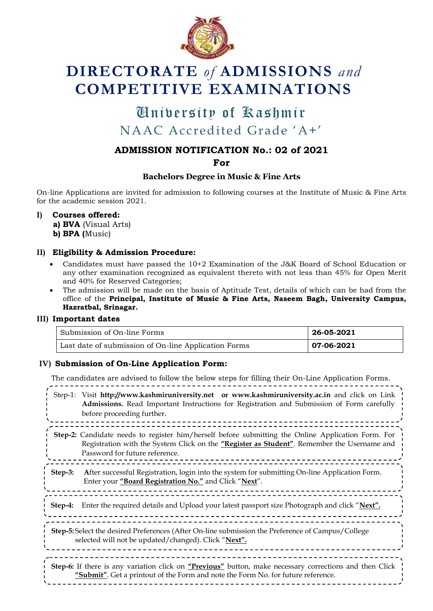

# **DIRECTORATE** *of* **ADMISSIONS** *and* **COMPETITIVE EXAMINATIONS**

## University of Kashmir University of KashmirNAAC Accredited Grade "A+"

### **ADMISSION NOTIFICATION No.: 02 of 2021**

**For**

#### **Bachelors Degree in Music & Fine Arts**

On-line Applications are invited for admission to following courses at the Institute of Music & Fine Arts for the academic session 2021.

**I) Courses offered:**

**a) BVA** (Visual Arts) **b) BPA (**Music)

#### **II) Eligibility & Admission Procedure:**

- Candidates must have passed the 10+2 Examination of the J&K Board of School Education or any other examination recognized as equivalent thereto with not less than 45% for Open Merit and 40% for Reserved Categories;
- The admission will be made on the basis of Aptitude Test, details of which can be had from the office of the **Principal, Institute of Music & Fine Arts, Naseem Bagh, University Campus, Hazratbal, Srinagar.**

#### **III) Important dates**

| Submission of On-line Forms                          | 26-05-2021 |
|------------------------------------------------------|------------|
| Last date of submission of On-line Application Forms | 07-06-2021 |

#### **IV) Submission of On-Line Application Form:**

The candidates are advised to follow the below steps for filling their On-Line Application Forms. Step-1: Visit **[http://www.kashmiruniversity.net](http://www.kashmiruniversity.net/) or [www.kashmiruniversity.ac.in](http://www.kashmiruniversity.ac.in/)** and click on Link **Admissions.** Read Important Instructions for Registration and Submission of Form carefully before proceeding further. <u>=======</u> **Step-2:** Candidate needs to register him/herself before submitting the Online Application Form. For Registration with the System Click on the **"Register as Student"**. Remember the Username and Password for future reference. **Step-3: A**fter successful Registration, login into the system for submitting On-line Application Form. Enter your **"Board Registration No."** and Click "**Next**". **Step-4:** Enter the required details and Upload your latest passport size Photograph and click "**Next". Step-5:** Select the desired Preferences (After On-line submission the Preference of Campus/College selected will not be updated/changed). Click "**Next".** \_\_\_\_\_\_\_\_\_\_\_\_\_\_\_\_\_\_\_\_ **Step-6:** If there is any variation click on **"Previous"** button, make necessary corrections and then Click **"Submit"**. Get a printout of the Form and note the Form No. for future reference.